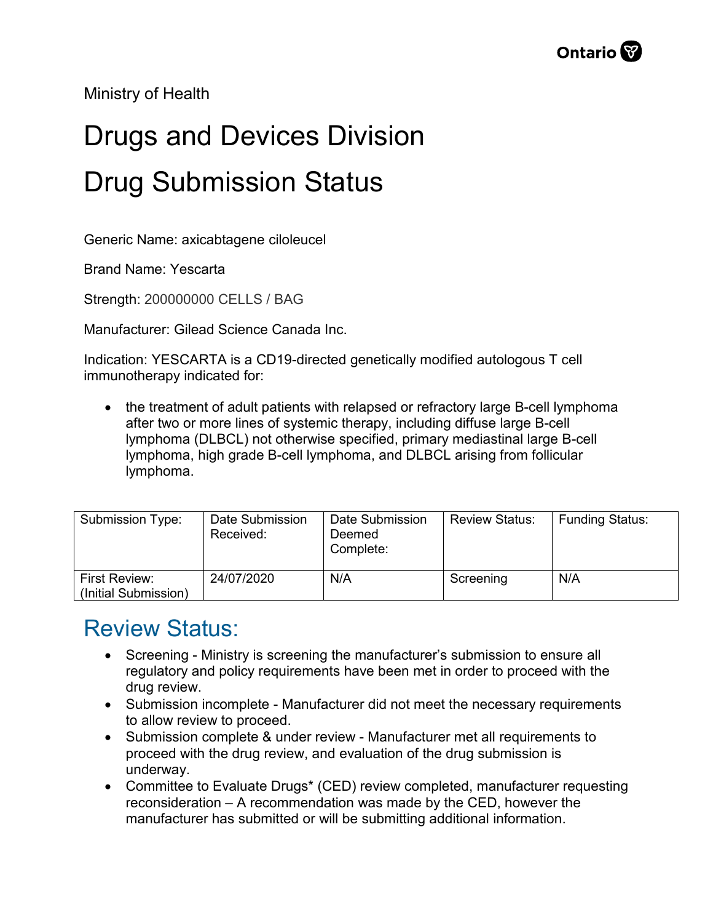Ministry of Health

## Drugs and Devices Division Drug Submission Status

Generic Name: axicabtagene ciloleucel

Brand Name: Yescarta

Strength: 200000000 CELLS / BAG

Manufacturer: Gilead Science Canada Inc.

Indication: YESCARTA is a CD19-directed genetically modified autologous T cell immunotherapy indicated for:

• the treatment of adult patients with relapsed or refractory large B-cell lymphoma after two or more lines of systemic therapy, including diffuse large B-cell lymphoma (DLBCL) not otherwise specified, primary mediastinal large B-cell lymphoma, high grade B-cell lymphoma, and DLBCL arising from follicular lymphoma.

| <b>Submission Type:</b>               | Date Submission<br>Received: | Date Submission<br>Deemed<br>Complete: | <b>Review Status:</b> | <b>Funding Status:</b> |
|---------------------------------------|------------------------------|----------------------------------------|-----------------------|------------------------|
| First Review:<br>(Initial Submission) | 24/07/2020                   | N/A                                    | Screening             | N/A                    |

## Review Status:

- Screening Ministry is screening the manufacturer's submission to ensure all regulatory and policy requirements have been met in order to proceed with the drug review.
- Submission incomplete Manufacturer did not meet the necessary requirements to allow review to proceed.
- Submission complete & under review Manufacturer met all requirements to proceed with the drug review, and evaluation of the drug submission is underway.
- Committee to Evaluate Drugs\* (CED) review completed, manufacturer requesting reconsideration – A recommendation was made by the CED, however the manufacturer has submitted or will be submitting additional information.